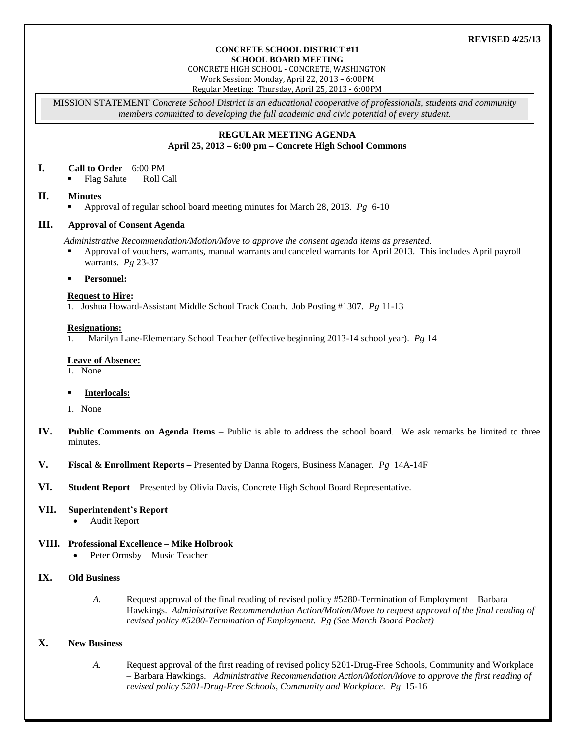# **REVISED 4/25/13**

#### **CONCRETE SCHOOL DISTRICT #11 SCHOOL BOARD MEETING**

CONCRETE HIGH SCHOOL - CONCRETE, WASHINGTON

Work Session: Monday, April 22, 2013 – 6:00PM

Regular Meeting: Thursday, April 25, 2013 - 6:00PM

MISSION STATEMENT *Concrete School District is an educational cooperative of professionals, students and community members committed to developing the full academic and civic potential of every student.*

# **REGULAR MEETING AGENDA April 25, 2013 – 6:00 pm – Concrete High School Commons**

### **I. Call to Order** – 6:00 PM

Flag Salute Roll Call

# **II. Minutes**

Approval of regular school board meeting minutes for March 28, 2013. *Pg* 6-10

### **III. Approval of Consent Agenda**

*Administrative Recommendation/Motion/Move to approve the consent agenda items as presented.*

 Approval of vouchers, warrants, manual warrants and canceled warrants for April 2013. This includes April payroll warrants. *Pg* 23-37

### **Personnel:**

# **Request to Hire:**

1. Joshua Howard-Assistant Middle School Track Coach. Job Posting #1307. *Pg* 11-13

### **Resignations:**

1. Marilyn Lane-Elementary School Teacher (effective beginning 2013-14 school year). *Pg* 14

### **Leave of Absence:**

1. None

## **Interlocals:**

- 1. None
- **IV. Public Comments on Agenda Items** Public is able to address the school board. We ask remarks be limited to three minutes.
- **V. Fiscal & Enrollment Reports –** Presented by Danna Rogers, Business Manager. *Pg* 14A-14F
- **VI. Student Report** Presented by Olivia Davis, Concrete High School Board Representative.

### **VII. Superintendent's Report**

Audit Report

### **VIII. Professional Excellence – Mike Holbrook**

Peter Ormsby – Music Teacher

# **IX. Old Business**

*A.* Request approval of the final reading of revised policy #5280-Termination of Employment – Barbara Hawkings. *Administrative Recommendation Action/Motion/Move to request approval of the final reading of revised policy #5280-Termination of Employment. Pg (See March Board Packet)*

# **X. New Business**

*A.* Request approval of the first reading of revised policy 5201-Drug-Free Schools, Community and Workplace – Barbara Hawkings. *Administrative Recommendation Action/Motion/Move to approve the first reading of revised policy 5201-Drug-Free Schools, Community and Workplace. Pg* 15-16